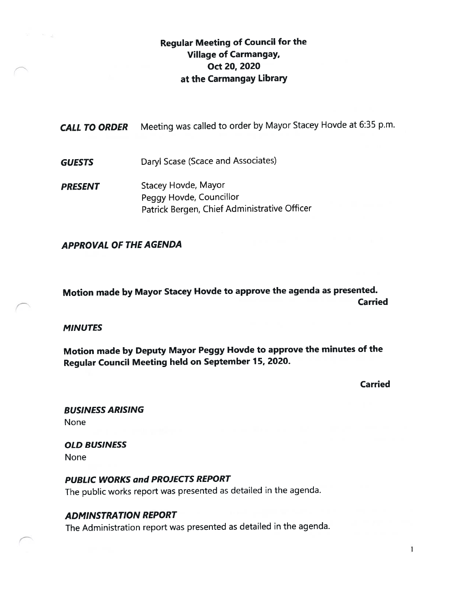## Regular Meeting of Council for the Village of Carmangay, Oct 20, 2020 at the Carmangay Library

| <b>CALL TO ORDER</b> | Meeting was called to order by Mayor Stacey Hovde at 6:35 p.m.                                        |
|----------------------|-------------------------------------------------------------------------------------------------------|
| <b>GUESTS</b>        | Daryl Scase (Scace and Associates)                                                                    |
| <b>PRESENT</b>       | <b>Stacey Hovde, Mayor</b><br>Peggy Hovde, Councillor<br>Patrick Bergen, Chief Administrative Officer |

#### APPROVAL OF THE AGENDA

Motion made by Mayor Stacey Hovde to approve the agenda as presented. Carried

**MINUTES** 

Motion made by Deputy Mayor Peggy Hovde to approve the minutes of the Regular Council Meeting held on September 15, 2020.

Carried

BUSiNESS ARISING None

OLD BUSINESS None

PUBLIC WORKS and PROJECTS REPORT The public works repor<sup>t</sup> was presented as detailed in the agenda.

#### ADMINSTRA TION REPORT

The Administration repor<sup>t</sup> was presented as detailed in the agenda.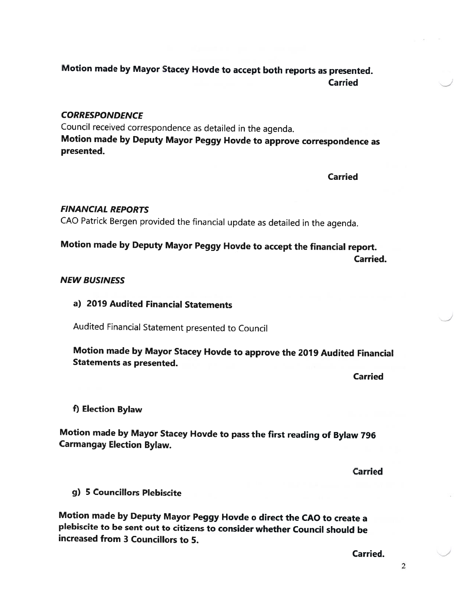# Motion made by Mayor Stacey Hovde to accept both reports as presented. Carried

### **CORRESPONDENCE**

Council received correspondence as detailed in the agenda. Motion made by Deputy Mayor Peggy Hovde to approve correspondence as presented.

Carried

### FINANCIAL REPORTS

CAD Patrick Bergen provided the financial update as detailed in the agenda.

# Motion made by Deputy Mayor Peggy Hovde to accept the financial report. Carried.

#### NEW BUSINESS

## a) 2079 Audited Financial Statements

Audited Financial Statement presented to Council

Motion made by Mayor Stacey Hovde to approve the <sup>2079</sup> Audited Financial Statements as presented.

Carried

f) Election Bylaw

Motion made by Mayor Stacey Hovde to pass the first reading of Bylaw <sup>796</sup> Carmangay Election Bylaw.

Carried

g) 5 Councillors Plebiscite

Motion made by Deputy Mayor Peggy Hovde <sup>o</sup> direct the CAO to create <sup>a</sup> <sup>p</sup>lebiscite to be sent out to citizens to consider whether Council should be increased from 3 Councillors to 5.

Carried.

2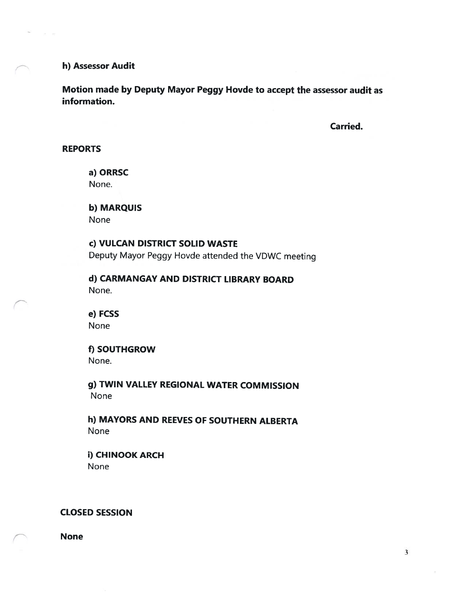#### h) Assessor Audit

 $28-38$ 

Motion made by Deputy Mayor Peggy Hovde to accept the assessor audit as information.

Carried.

#### REPORTS

a) ORRSC

None.

b) MARQUIS None

c) VULCAN DISTRICT SOLID WASTE

Deputy Mayor Peggy Hovde attended the VDWC meeting

d) CARMANGAY AND DISTRICT LIBRARY BOARD None.

e) FCSS None

f) SOUTHGROW None.

g) TWIN VALLEY REGIONAL WATER COMMISSION None

h) MAYORS AND REEVES OF SOUTHERN ALBERTA None

i) CHINOOK ARCH None

#### CLOSED SESSION

None